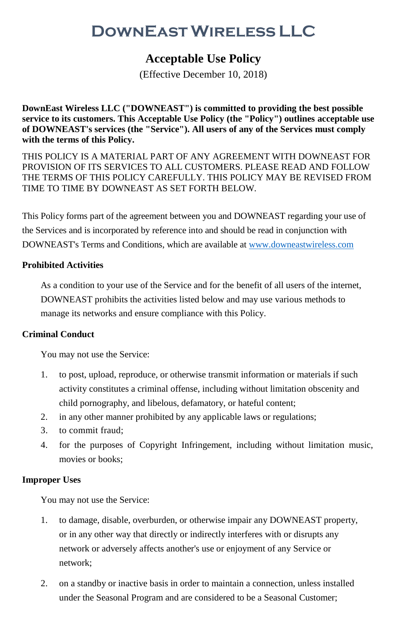# **DownEastWireless LLC**

# **Acceptable Use Policy**

(Effective December 10, 2018)

**DownEast Wireless LLC ("DOWNEAST") is committed to providing the best possible service to its customers. This Acceptable Use Policy (the "Policy") outlines acceptable use of DOWNEAST's services (the "Service"). All users of any of the Services must comply with the terms of this Policy.**

THIS POLICY IS A MATERIAL PART OF ANY AGREEMENT WITH DOWNEAST FOR PROVISION OF ITS SERVICES TO ALL CUSTOMERS. PLEASE READ AND FOLLOW THE TERMS OF THIS POLICY CAREFULLY. THIS POLICY MAY BE REVISED FROM TIME TO TIME BY DOWNEAST AS SET FORTH BELOW.

This Policy forms part of the agreement between you and DOWNEAST regarding your use of the Services and is incorporated by reference into and should be read in conjunction with DOWNEAST's Terms and Conditions, which are available a[t www.downeastwireless.com](http://www.downeastwireless.com/)

# **Prohibited Activities**

As a condition to your use of the Service and for the benefit of all users of the internet, DOWNEAST prohibits the activities listed below and may use various methods to manage its networks and ensure compliance with this Policy.

# **Criminal Conduct**

You may not use the Service:

- 1. to post, upload, reproduce, or otherwise transmit information or materials if such activity constitutes a criminal offense, including without limitation obscenity and child pornography, and libelous, defamatory, or hateful content;
- 2. in any other manner prohibited by any applicable laws or regulations;
- 3. to commit fraud;
- 4. for the purposes of Copyright Infringement, including without limitation music, movies or books;

# **Improper Uses**

You may not use the Service:

- 1. to damage, disable, overburden, or otherwise impair any DOWNEAST property, or in any other way that directly or indirectly interferes with or disrupts any network or adversely affects another's use or enjoyment of any Service or network;
- 2. on a standby or inactive basis in order to maintain a connection, unless installed under the Seasonal Program and are considered to be a Seasonal Customer;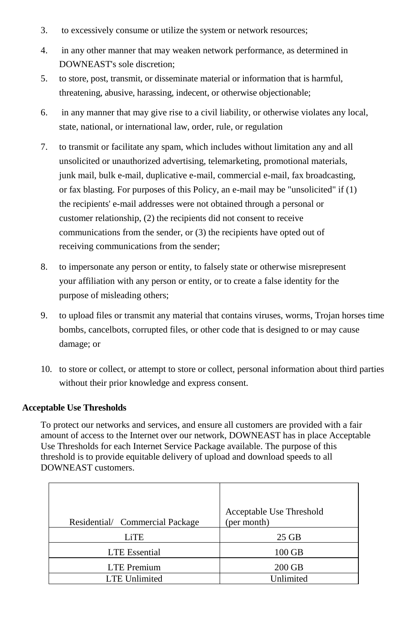- 3. to excessively consume or utilize the system or network resources;
- 4. in any other manner that may weaken network performance, as determined in DOWNEAST's sole discretion;
- 5. to store, post, transmit, or disseminate material or information that is harmful, threatening, abusive, harassing, indecent, or otherwise objectionable;
- 6. in any manner that may give rise to a civil liability, or otherwise violates any local, state, national, or international law, order, rule, or regulation
- 7. to transmit or facilitate any spam, which includes without limitation any and all unsolicited or unauthorized advertising, telemarketing, promotional materials, junk mail, bulk e-mail, duplicative e-mail, commercial e-mail, fax broadcasting, or fax blasting. For purposes of this Policy, an e-mail may be "unsolicited" if (1) the recipients' e-mail addresses were not obtained through a personal or customer relationship, (2) the recipients did not consent to receive communications from the sender, or (3) the recipients have opted out of receiving communications from the sender;
- 8. to impersonate any person or entity, to falsely state or otherwise misrepresent your affiliation with any person or entity, or to create a false identity for the purpose of misleading others;
- 9. to upload files or transmit any material that contains viruses, worms, Trojan horses time bombs, cancelbots, corrupted files, or other code that is designed to or may cause damage; or
- 10. to store or collect, or attempt to store or collect, personal information about third parties without their prior knowledge and express consent.

# **Acceptable Use Thresholds**

To protect our networks and services, and ensure all customers are provided with a fair amount of access to the Internet over our network, DOWNEAST has in place Acceptable Use Thresholds for each Internet Service Package available. The purpose of this threshold is to provide equitable delivery of upload and download speeds to all DOWNEAST customers.

| Residential/ Commercial Package | Acceptable Use Threshold<br>(per month) |
|---------------------------------|-----------------------------------------|
| LiTE                            | 25 GB                                   |
| <b>LTE</b> Essential            | 100 GB                                  |
| <b>LTE</b> Premium              | 200 GB                                  |
| <b>LTE Unlimited</b>            | Unlimited                               |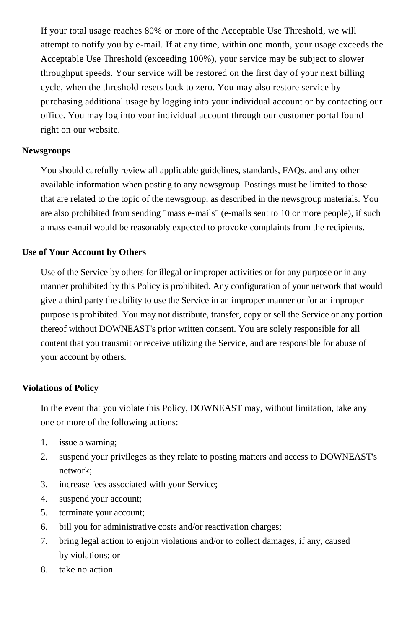If your total usage reaches 80% or more of the Acceptable Use Threshold, we will attempt to notify you by e-mail. If at any time, within one month, your usage exceeds the Acceptable Use Threshold (exceeding 100%), your service may be subject to slower throughput speeds. Your service will be restored on the first day of your next billing cycle, when the threshold resets back to zero. You may also restore service by purchasing additional usage by logging into your individual account or by contacting our office. You may log into your individual account through our customer portal found right on our website.

#### **Newsgroups**

You should carefully review all applicable guidelines, standards, FAQs, and any other available information when posting to any newsgroup. Postings must be limited to those that are related to the topic of the newsgroup, as described in the newsgroup materials. You are also prohibited from sending "mass e-mails" (e-mails sent to 10 or more people), if such a mass e-mail would be reasonably expected to provoke complaints from the recipients.

#### **Use of Your Account by Others**

Use of the Service by others for illegal or improper activities or for any purpose or in any manner prohibited by this Policy is prohibited. Any configuration of your network that would give a third party the ability to use the Service in an improper manner or for an improper purpose is prohibited. You may not distribute, transfer, copy or sell the Service or any portion thereof without DOWNEAST's prior written consent. You are solely responsible for all content that you transmit or receive utilizing the Service, and are responsible for abuse of your account by others.

#### **Violations of Policy**

In the event that you violate this Policy, DOWNEAST may, without limitation, take any one or more of the following actions:

- 1. issue a warning;
- 2. suspend your privileges as they relate to posting matters and access to DOWNEAST's network;
- 3. increase fees associated with your Service;
- 4. suspend your account;
- 5. terminate your account;
- 6. bill you for administrative costs and/or reactivation charges;
- 7. bring legal action to enjoin violations and/or to collect damages, if any, caused by violations; or
- 8. take no action.